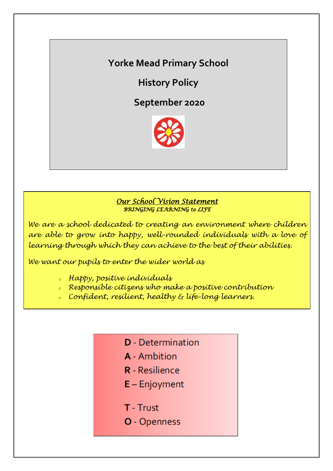# **Yorke Mead Primary School**

**History Policy**

**September 2020**



### *Our School Vision Statement BRINGING LEARNING to LIFE*

*We are a school dedicated to creating an environment where children are able to grow into happy, well-rounded individuals with a love of learning through which they can achieve to the best of their abilities.*

*We want our pupils to enter the wider world as*

*<sup>o</sup> Happy, positive individuals*

*<sup>o</sup> Responsible citizens who make a positive contribution*

- *<sup>o</sup> Confident, resilient, healthy & life-long learners.*
	- **D** Determination
	- **A** Ambition
	- **R** Resilience
	- $E -$  Enjoyment
	- T Trust
	- O Openness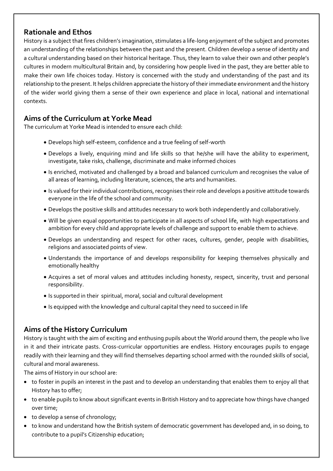## **Rationale and Ethos**

History is a subject that fires children's imagination, stimulates a life-long enjoyment of the subject and promotes an understanding of the relationships between the past and the present. Children develop a sense of identity and a cultural understanding based on their historical heritage. Thus, they learn to value their own and other people's cultures in modern multicultural Britain and, by considering how people lived in the past, they are better able to make their own life choices today. History is concerned with the study and understanding of the past and its relationship to the present. It helps children appreciate the history of their immediate environment and the history of the wider world giving them a sense of their own experience and place in local, national and international contexts.

# **Aims of the Curriculum at Yorke Mead**

The curriculum at Yorke Mead is intended to ensure each child:

- Develops high self-esteem, confidence and a true feeling of self-worth
- Develops a lively, enquiring mind and life skills so that he/she will have the ability to experiment, investigate, take risks, challenge, discriminate and make informed choices
- Is enriched, motivated and challenged by a broad and balanced curriculum and recognises the value of all areas of learning, including literature, sciences, the arts and humanities.
- Is valued for their individual contributions, recognises their role and develops a positive attitude towards everyone in the life of the school and community.
- Develops the positive skills and attitudes necessary to work both independently and collaboratively.
- Will be given equal opportunities to participate in all aspects of school life, with high expectations and ambition for every child and appropriate levels of challenge and support to enable them to achieve.
- Develops an understanding and respect for other races, cultures, gender, people with disabilities, religions and associated points of view.
- Understands the importance of and develops responsibility for keeping themselves physically and emotionally healthy
- Acquires a set of moral values and attitudes including honesty, respect, sincerity, trust and personal responsibility.
- Is supported in their spiritual, moral, social and cultural development
- Is equipped with the knowledge and cultural capital they need to succeed in life

# **Aims of the History Curriculum**

History is taught with the aim of exciting and enthusing pupils about the World around them, the people who live in it and their intricate pasts. Cross-curricular opportunities are endless. History encourages pupils to engage readily with their learning and they will find themselves departing school armed with the rounded skills of social, cultural and moral awareness.

The aims of History in our school are:

- to foster in pupils an interest in the past and to develop an understanding that enables them to enjoy all that History has to offer;
- to enable pupils to know about significant events in British History and to appreciate how things have changed over time;
- to develop a sense of chronology;
- to know and understand how the British system of democratic government has developed and, in so doing, to contribute to a pupil's Citizenship education;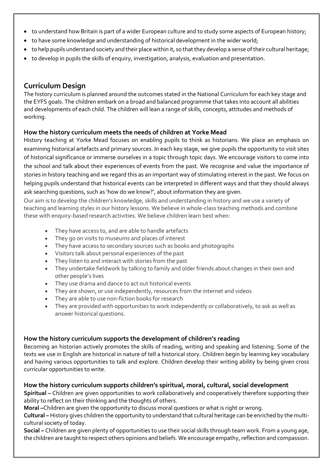- to understand how Britain is part of a wider European culture and to study some aspects of European history;
- to have some knowledge and understanding of historical development in the wider world;
- to help pupils understand society and their place within it, so that they develop a sense of their cultural heritage;
- to develop in pupils the skills of enquiry, investigation, analysis, evaluation and presentation.

### **Curriculum Design**

The history curriculum is planned around the outcomes stated in the National Curriculum for each key stage and the EYFS goals. The children embark on a broad and balanced programme that takes into account all abilities and developments of each child. The children will lean a range of skills, concepts, attitudes and methods of working.

### **How the history curriculum meets the needs of children at Yorke Mead**

History teaching at Yorke Mead focuses on enabling pupils to think as historians. We place an emphasis on examining historical artefacts and primary sources. In each key stage, we give pupils the opportunity to visit sites of historical significance or immerse ourselves in a topic through topic days. We encourage visitors to come into the school and talk about their experiences of events from the past. We recognise and value the importance of stories in history teaching and we regard this as an important way of stimulating interest in the past. We focus on helping pupils understand that historical events can be interpreted in different ways and that they should always ask searching questions, such as 'how do we know?', about information they are given.

Our aim is to develop the children's knowledge, skills and understanding in history and we use a variety of teaching and learning styles in our history lessons. We believe in whole-class teaching methods and combine these with enquiry-based research activities. We believe children learn best when:

- They have access to, and are able to handle artefacts
- They go on visits to museums and places of interest
- They have access to secondary sources such as books and photographs
- Visitors talk about personal experiences of the past
- They listen to and interact with stories from the past
- They undertake fieldwork by talking to family and older friends about changes in their own and other people's lives
- They use drama and dance to act out historical events
- They are shown, or use independently, resources from the internet and videos
- They are able to use non-fiction books for research
- They are provided with opportunities to work independently or collaboratively, to ask as well as answer historical questions.

### **How the history curriculum supports the development of children's reading**

Becoming an historian actively promotes the skills of reading, writing and speaking and listening. Some of the texts we use in English are historical in nature of tell a historical story. Children begin by learning key vocabulary and having various opportunities to talk and explore. Children develop their writing ability by being given cross curricular opportunities to write.

### **How the history curriculum supports children's spiritual, moral, cultural, social development**

**Spiritual –** Children are given opportunities to work collaboratively and cooperatively therefore supporting their ability to reflect on their thinking and the thoughts of others.

**Moral –**Children are given the opportunity to discuss moral questions or what is right or wrong.

**Cultural –** History gives children the opportunity to understand that cultural heritage can be enriched by the multicultural society of today.

**Social –** Children are given plenty of opportunities to use their social skills through team work. From a young age, the children are taught to respect others opinions and beliefs. We encourage empathy, reflection and compassion.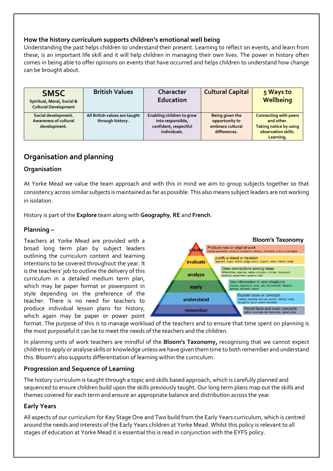#### **How the history curriculum supports children's emotional well being**

Understanding the past helps children to understand their present. Learning to reflect on events, and learn from these, is an important life skill and it will help children in managing their own lives. The power in history often comes in being able to offer opinions on events that have occurred and helps children to understand how change can be brought about.

| <b>SMSC</b><br>Spiritual, Moral, Social &<br><b>Cultural Development</b> | <b>British Values</b>                             | Character<br>Education                                                                  | <b>Cultural Capital</b>                                               | 5 Ways to<br>Wellbeing                                                                                   |
|--------------------------------------------------------------------------|---------------------------------------------------|-----------------------------------------------------------------------------------------|-----------------------------------------------------------------------|----------------------------------------------------------------------------------------------------------|
| Social development.<br>Awareness of cultural<br>development.             | All British values are taught<br>through history. | Enabling children to grow<br>into responsible,<br>confident, respectful<br>individuals. | Being given the<br>opportunity to<br>embrace cultural<br>differences. | <b>Connecting with peers</b><br>and other.<br>Taking notice by using<br>observation skills.<br>Learning. |

# **Organisation and planning**

#### **Organisation**

At Yorke Mead we value the team approach and with this in mind we aim to group subjects together so that consistency across similar subjects is maintained as far as possible. This also means subject leaders are not working in isolation.

History is part of the **Explore** team along with **Geography**, **RE** and **French**.

#### **Planning –**

Teachers at Yorke Mead are provided with a broad long term plan by subject leaders outlining the curriculum content and learning intentions to be covered throughout the year. It is the teachers' job to outline the delivery of this curriculum in a detailed medium term plan, which may be paper format or powerpoint in style depending on the preference of the teacher. There is no need for teachers to produce individual lesson plans for history, which again may be paper or power point



format. The purpose of this is to manage workload of the teachers and to ensure that time spent on planning is the most purposeful it can be to meet the needs of the teachers and the children.

In planning units of work teachers are mindful of the **Bloom's Taxonomy,** recognising that we cannot expect children to apply or analyse skills or knowledge unless we have given them time to both remember and understand this. Bloom's also supports differentiation of learning within the curriculum.

#### **Progression and Sequence of Learning**

The history curriculum is taught through a topic and skills based approach, which is carefully planned and sequenced to ensure children build upon the skills previously taught. Our long term plans map out the skills and themes covered for each term and ensure an appropriate balance and distribution across the year.

#### **Early Years**

All aspects of our curriculum for Key Stage One and Two build from the Early Years curriculum, which is centred around the needs and interests of the Early Years children at Yorke Mead. Whilst this policy is relevant to all stages of education at Yorke Mead it is essential this is read in conjunction with the EYFS policy.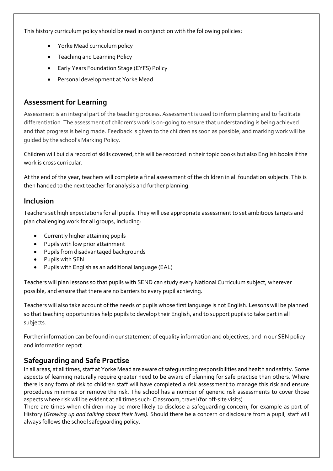This history curriculum policy should be read in conjunction with the following policies:

- Yorke Mead curriculum policy
- Teaching and Learning Policy
- Early Years Foundation Stage (EYFS) Policy
- Personal development at Yorke Mead

# **Assessment for Learning**

Assessment is an integral part of the teaching process. Assessment is used to inform planning and to facilitate differentiation. The assessment of children's work is on-going to ensure that understanding is being achieved and that progress is being made. Feedback is given to the children as soon as possible, and marking work will be guided by the school's Marking Policy.

Children will build a record of skills covered, this will be recorded in their topic books but also English books if the work is cross curricular.

At the end of the year, teachers will complete a final assessment of the children in all foundation subjects. This is then handed to the next teacher for analysis and further planning.

### **Inclusion**

Teachers set high expectations for all pupils. They will use appropriate assessment to set ambitious targets and plan challenging work for all groups, including:

- Currently higher attaining pupils
- Pupils with low prior attainment
- Pupils from disadvantaged backgrounds
- Pupils with SEN
- Pupils with English as an additional language (EAL)

Teachers will plan lessons so that pupils with SEND can study every National Curriculum subject, wherever possible, and ensure that there are no barriers to every pupil achieving.

Teachers will also take account of the needs of pupils whose first language is not English. Lessons will be planned so that teaching opportunities help pupils to develop their English, and to support pupils to take part in all subjects.

Further information can be found in our statement of equality information and objectives, and in our SEN policy and information report.

### **Safeguarding and Safe Practise**

In all areas, at all times, staff at Yorke Mead are aware of safeguarding responsibilities and health and safety. Some aspects of learning naturally require greater need to be aware of planning for safe practise than others. Where there is any form of risk to children staff will have completed a risk assessment to manage this risk and ensure procedures minimise or remove the risk. The school has a number of generic risk assessments to cover those aspects where risk will be evident at all times such: Classroom, travel (for off-site visits).

There are times when children may be more likely to disclose a safeguarding concern, for example as part of History (*Growing up and talking about their lives).* Should there be a concern or disclosure from a pupil, staff will always follows the school safeguarding policy.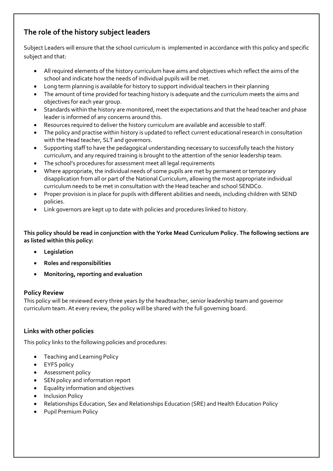# **The role of the history subject leaders**

Subject Leaders will ensure that the school curriculum is implemented in accordance with this policy and specific subject and that:

- All required elements of the history curriculum have aims and objectives which reflect the aims of the school and indicate how the needs of individual pupils will be met.
- Long term planning is available for history to support individual teachers in their planning
- The amount of time provided for teaching history is adequate and the curriculum meets the aims and objectives for each year group.
- Standards within the history are monitored, meet the expectations and that the head teacher and phase leader is informed of any concerns around this.
- Resources required to deliver the history curriculum are available and accessible to staff.
- The policy and practise within history is updated to reflect current educational research in consultation with the Head teacher, SLT and governors.
- Supporting staff to have the pedagogical understanding necessary to successfully teach the history curriculum, and any required training is brought to the attention of the senior leadership team.
- The school's procedures for assessment meet all legal requirements
- Where appropriate, the individual needs of some pupils are met by permanent or temporary disapplication from all or part of the National Curriculum, allowing the most appropriate individual curriculum needs to be met in consultation with the Head teacher and school SENDCo.
- Proper provision is in place for pupils with different abilities and needs, including children with SEND policies.
- Link governors are kept up to date with policies and procedures linked to history.

**This policy should be read in conjunction with the Yorke Mead Curriculum Policy. The following sections are as listed within this policy:** 

- **Legislation**
- **Roles and responsibilities**
- **Monitoring, reporting and evaluation**

#### **Policy Review**

This policy will be reviewed every three years *by* the headteacher, senior leadership team and governor curriculum team. At every review, the policy will be shared with the full governing board.

### **Links with other policies**

This policy links to the following policies and procedures:

- Teaching and Learning Policy
- EYFS policy
- **•** Assessment policy
- SEN policy and information report
- Equality information and objectives
- Inclusion Policy
- Relationships Education, Sex and Relationships Education (SRE) and Health Education Policy
- Pupil Premium Policy